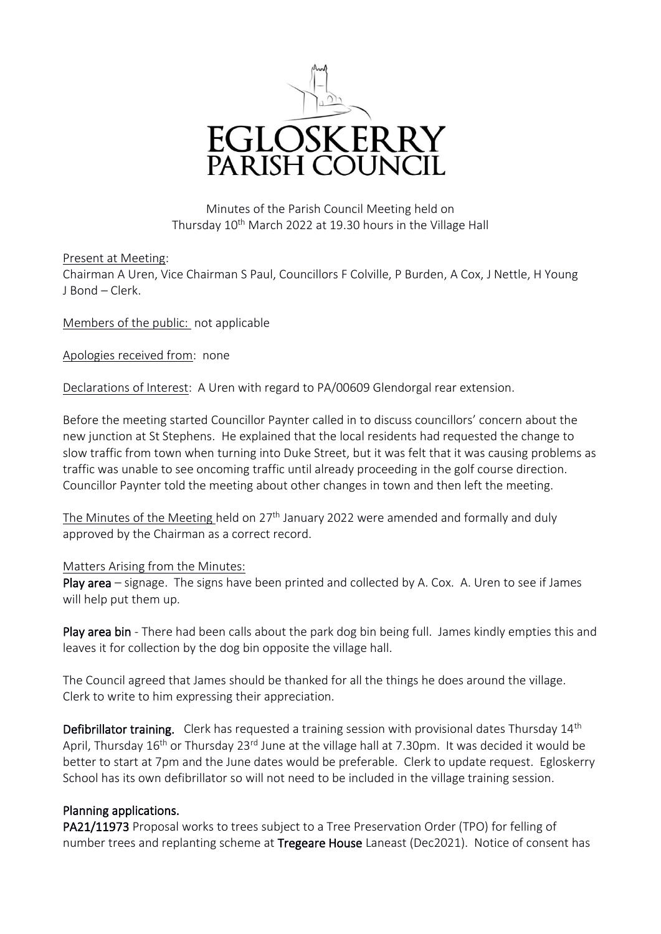

Minutes of the Parish Council Meeting held on Thursday 10<sup>th</sup> March 2022 at 19.30 hours in the Village Hall

Present at Meeting:

Chairman A Uren, Vice Chairman S Paul, Councillors F Colville, P Burden, A Cox, J Nettle, H Young J Bond – Clerk.

Members of the public: not applicable

Apologies received from: none

Declarations of Interest: A Uren with regard to PA/00609 Glendorgal rear extension.

Before the meeting started Councillor Paynter called in to discuss councillors' concern about the new junction at St Stephens. He explained that the local residents had requested the change to slow traffic from town when turning into Duke Street, but it was felt that it was causing problems as traffic was unable to see oncoming traffic until already proceeding in the golf course direction. Councillor Paynter told the meeting about other changes in town and then left the meeting.

The Minutes of the Meeting held on  $27<sup>th</sup>$  January 2022 were amended and formally and duly approved by the Chairman as a correct record.

## Matters Arising from the Minutes:

Play area – signage. The signs have been printed and collected by A. Cox. A. Uren to see if James will help put them up.

Play area bin - There had been calls about the park dog bin being full. James kindly empties this and leaves it for collection by the dog bin opposite the village hall.

The Council agreed that James should be thanked for all the things he does around the village. Clerk to write to him expressing their appreciation.

Defibrillator training. Clerk has requested a training session with provisional dates Thursday 14<sup>th</sup> April, Thursday 16<sup>th</sup> or Thursday 23<sup>rd</sup> June at the village hall at 7.30pm. It was decided it would be better to start at 7pm and the June dates would be preferable. Clerk to update request. Egloskerry School has its own defibrillator so will not need to be included in the village training session.

## Planning applications.

PA21/11973 Proposal works to trees subject to a Tree Preservation Order (TPO) for felling of number trees and replanting scheme at Tregeare House Laneast (Dec2021). Notice of consent has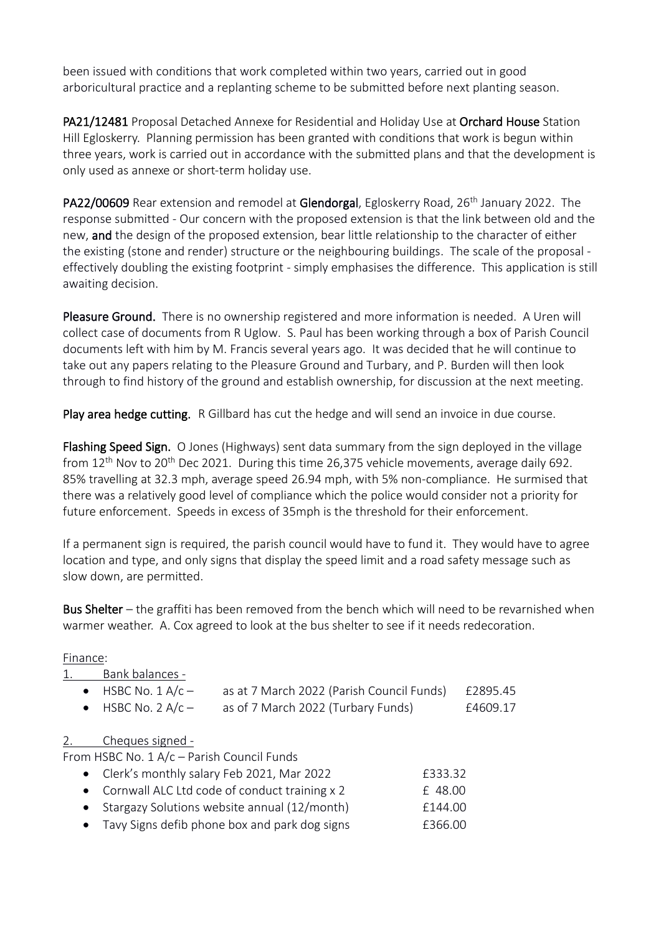been issued with conditions that work completed within two years, carried out in good arboricultural practice and a replanting scheme to be submitted before next planting season.

PA21/12481 Proposal Detached Annexe for Residential and Holiday Use at Orchard House Station Hill Egloskerry. Planning permission has been granted with conditions that work is begun within three years, work is carried out in accordance with the submitted plans and that the development is only used as annexe or short-term holiday use.

PA22/00609 Rear extension and remodel at Glendorgal, Egloskerry Road, 26<sup>th</sup> January 2022. The response submitted - Our concern with the proposed extension is that the link between old and the new, and the design of the proposed extension, bear little relationship to the character of either the existing (stone and render) structure or the neighbouring buildings. The scale of the proposal effectively doubling the existing footprint - simply emphasises the difference. This application is still awaiting decision.

Pleasure Ground. There is no ownership registered and more information is needed. A Uren will collect case of documents from R Uglow. S. Paul has been working through a box of Parish Council documents left with him by M. Francis several years ago. It was decided that he will continue to take out any papers relating to the Pleasure Ground and Turbary, and P. Burden will then look through to find history of the ground and establish ownership, for discussion at the next meeting.

Play area hedge cutting.R Gillbard has cut the hedge and will send an invoice in due course.

Flashing Speed Sign. O Jones (Highways) sent data summary from the sign deployed in the village from  $12<sup>th</sup>$  Nov to 20<sup>th</sup> Dec 2021. During this time 26,375 vehicle movements, average daily 692. 85% travelling at 32.3 mph, average speed 26.94 mph, with 5% non-compliance. He surmised that there was a relatively good level of compliance which the police would consider not a priority for future enforcement. Speeds in excess of 35mph is the threshold for their enforcement.

If a permanent sign is required, the parish council would have to fund it. They would have to agree location and type, and only signs that display the speed limit and a road safety message such as slow down, are permitted.

Bus Shelter – the graffiti has been removed from the bench which will need to be revarnished when warmer weather. A. Cox agreed to look at the bus shelter to see if it needs redecoration.

## Finance:

| 1. | Bank balances -            |                                           |          |
|----|----------------------------|-------------------------------------------|----------|
|    | $\bullet$ HSBC No. 1 A/c - | as at 7 March 2022 (Parish Council Funds) | £2895.45 |
|    | $\bullet$ HSBC No. 2 A/c - | as of 7 March 2022 (Turbary Funds)        | £4609.17 |
|    |                            |                                           |          |

## 2. Cheques signed -

From HSBC No. 1 A/c – Parish Council Funds

| • Clerk's monthly salary Feb 2021, Mar 2022     | £333.32 |
|-------------------------------------------------|---------|
| • Cornwall ALC Ltd code of conduct training x 2 | £48.00  |
| • Stargazy Solutions website annual (12/month)  | f144.00 |
| • Tavy Signs defib phone box and park dog signs | £366.00 |